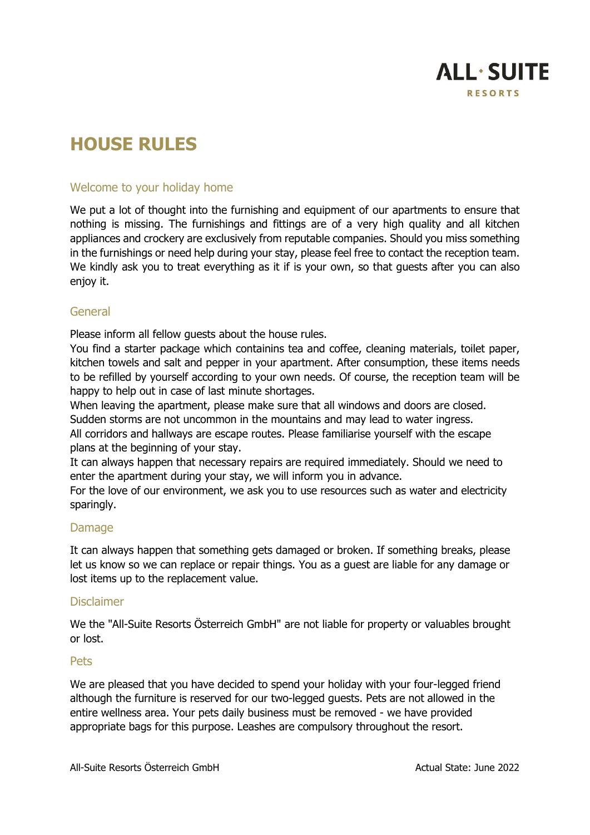

# **HOUSE RULES**

# Welcome to your holiday home

We put a lot of thought into the furnishing and equipment of our apartments to ensure that nothing is missing. The furnishings and fittings are of a very high quality and all kitchen appliances and crockery are exclusively from reputable companies. Should you miss something in the furnishings or need help during your stay, please feel free to contact the reception team. We kindly ask you to treat everything as it if is your own, so that quests after you can also enjoy it.

# General

Please inform all fellow guests about the house rules.

You find a starter package which containins tea and coffee, cleaning materials, toilet paper, kitchen towels and salt and pepper in your apartment. After consumption, these items needs to be refilled by yourself according to your own needs. Of course, the reception team will be happy to help out in case of last minute shortages.

When leaving the apartment, please make sure that all windows and doors are closed.

Sudden storms are not uncommon in the mountains and may lead to water ingress.

All corridors and hallways are escape routes. Please familiarise yourself with the escape plans at the beginning of your stay.

It can always happen that necessary repairs are required immediately. Should we need to enter the apartment during your stay, we will inform you in advance.

For the love of our environment, we ask you to use resources such as water and electricity sparingly.

## Damage

It can always happen that something gets damaged or broken. If something breaks, please let us know so we can replace or repair things. You as a guest are liable for any damage or lost items up to the replacement value.

## Disclaimer

We the "All-Suite Resorts Österreich GmbH" are not liable for property or valuables brought or lost.

## Pets

We are pleased that you have decided to spend your holiday with your four-legged friend although the furniture is reserved for our two-legged guests. Pets are not allowed in the entire wellness area. Your pets daily business must be removed - we have provided appropriate bags for this purpose. Leashes are compulsory throughout the resort.